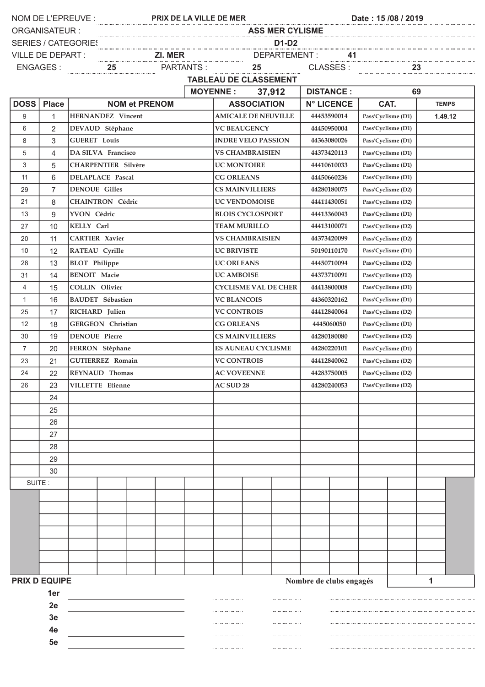|                                                      |                      |                            | NOM DE L'EPREUVE :<br>Date: 15/08 / 2019<br>PRIX DE LA VILLE DE MER                  |                    |                          |                              |                    |                    |                                   |                                   |                    |         |  |  |
|------------------------------------------------------|----------------------|----------------------------|--------------------------------------------------------------------------------------|--------------------|--------------------------|------------------------------|--------------------|--------------------|-----------------------------------|-----------------------------------|--------------------|---------|--|--|
|                                                      | <b>ORGANISATEUR:</b> |                            | <b>ASS MER CYLISME</b><br><u>D1-D2</u><br>21. MER DEPARTEMENT: 41<br>25 PARTANTS: 25 |                    |                          |                              |                    |                    |                                   |                                   |                    |         |  |  |
|                                                      |                      | <b>SERIES / CATEGORIES</b> | $\underline{\textbf{D1-D2}}$                                                         |                    |                          |                              |                    |                    |                                   |                                   |                    |         |  |  |
|                                                      | VILLE DE DEPART :    |                            |                                                                                      |                    |                          |                              |                    |                    |                                   |                                   |                    |         |  |  |
|                                                      | ENGAGES:             |                            |                                                                                      |                    |                          |                              |                    |                    |                                   | <u>CLASSES: 23</u>                |                    |         |  |  |
|                                                      |                      |                            |                                                                                      |                    |                          | <b>TABLEAU DE CLASSEMENT</b> |                    |                    |                                   |                                   |                    |         |  |  |
|                                                      |                      |                            |                                                                                      | <b>MOYENNE:</b>    | 37,912                   |                              | <b>DISTANCE:</b>   |                    | 69                                |                                   |                    |         |  |  |
| <b>DOSS</b>                                          | <b>Place</b>         | <b>NOM et PRENOM</b>       |                                                                                      | <b>ASSOCIATION</b> |                          | <b>N° LICENCE</b>            |                    | CAT.               |                                   | <b>TEMPS</b>                      |                    |         |  |  |
| 9                                                    | $\mathbf{1}$         | HERNANDEZ Vincent          |                                                                                      |                    |                          | <b>AMICALE DE NEUVILLE</b>   |                    |                    | 44453590014                       |                                   | Pass'Cyclisme (D1) | 1.49.12 |  |  |
| 6                                                    | $\overline{2}$       | DEVAUD Stéphane            |                                                                                      |                    |                          | <b>VC BEAUGENCY</b>          |                    |                    | 44450950004                       | Pass'Cyclisme (D1)                |                    |         |  |  |
| 8                                                    | 3                    | <b>GUERET</b> Louis        |                                                                                      |                    |                          | <b>INDRE VELO PASSION</b>    |                    |                    | 44363080026                       | Pass'Cyclisme (D1)                |                    |         |  |  |
| 5                                                    | $\overline{4}$       | DA SILVA Francisco         |                                                                                      |                    |                          | <b>VS CHAMBRAISIEN</b>       |                    |                    | 44373420113                       | Pass'Cyclisme (D1)                |                    |         |  |  |
| 3                                                    | 5                    | <b>CHARPENTIER Silvère</b> |                                                                                      |                    |                          | <b>UC MONTOIRE</b>           |                    |                    | 44410610033                       | Pass'Cyclisme (D1)                |                    |         |  |  |
| 11                                                   | 6                    | <b>DELAPLACE Pascal</b>    |                                                                                      |                    |                          | <b>CG ORLEANS</b>            |                    |                    |                                   | 44450660236<br>Pass'Cyclisme (D1) |                    |         |  |  |
| 29                                                   | $\overline{7}$       | <b>DENOUE Gilles</b>       |                                                                                      |                    |                          | <b>CS MAINVILLIERS</b>       |                    |                    | Pass'Cyclisme (D2)<br>44280180075 |                                   |                    |         |  |  |
| 21                                                   | 8                    | <b>CHAINTRON Cédric</b>    | <b>UC VENDOMOISE</b>                                                                 |                    |                          |                              | 44411430051        | Pass'Cyclisme (D2) |                                   |                                   |                    |         |  |  |
| 13                                                   | 9                    | YVON Cédric                |                                                                                      |                    | <b>BLOIS CYCLOSPORT</b>  |                              |                    |                    | 44413360043                       | Pass'Cyclisme (D1)                |                    |         |  |  |
| 27                                                   | 10                   | KELLY Carl                 |                                                                                      |                    | <b>TEAM MURILLO</b>      |                              |                    |                    | 44413100071                       | Pass'Cyclisme (D2)                |                    |         |  |  |
| 20                                                   | 11                   | <b>CARTIER Xavier</b>      | <b>VS CHAMBRAISIEN</b>                                                               |                    |                          |                              | 44373420099        | Pass'Cyclisme (D2) |                                   |                                   |                    |         |  |  |
| 10                                                   | 12                   | RATEAU Cyrille             | <b>UC BRIVISTE</b>                                                                   |                    |                          |                              | 50190110170        |                    | Pass'Cyclisme (D1)                |                                   |                    |         |  |  |
| 28                                                   | 13                   | <b>BLOT</b> Philippe       | <b>UC ORLEANS</b>                                                                    |                    |                          |                              | 44450710094        | Pass'Cyclisme (D2) |                                   |                                   |                    |         |  |  |
| 31                                                   | 14                   | <b>BENOIT Macie</b>        | <b>UC AMBOISE</b>                                                                    |                    |                          |                              | 44373710091        | Pass'Cyclisme (D2) |                                   |                                   |                    |         |  |  |
| $\overline{4}$                                       | 15                   | COLLIN Olivier             |                                                                                      |                    |                          | <b>CYCLISME VAL DE CHER</b>  |                    | 44413800008        |                                   |                                   | Pass'Cyclisme (D1) |         |  |  |
| 1                                                    | 16                   | <b>BAUDET</b> Sébastien    |                                                                                      |                    |                          | <b>VC BLANCOIS</b>           |                    |                    | 44360320162                       |                                   | Pass'Cyclisme (D1) |         |  |  |
| 25                                                   | 17                   | RICHARD Julien             |                                                                                      |                    |                          | <b>VC CONTROIS</b>           |                    |                    | 44412840064<br>Pass'Cyclisme (D2) |                                   |                    |         |  |  |
| 12                                                   | 18                   | GERGEON Christian          | <b>CG ORLEANS</b>                                                                    |                    |                          | 4445060050                   |                    |                    | Pass'Cyclisme (D1)                |                                   |                    |         |  |  |
| 30                                                   | 19                   | <b>DENOUE Pierre</b>       | <b>CS MAINVILLIERS</b><br>44280180080                                                |                    |                          |                              |                    | Pass'Cyclisme (D2) |                                   |                                   |                    |         |  |  |
| $\overline{7}$                                       | 20                   | FERRON Stéphane            | <b>ES AUNEAU CYCLISME</b><br>44280220101                                             |                    |                          |                              | Pass'Cyclisme (D1) |                    |                                   |                                   |                    |         |  |  |
| 23                                                   | 21                   | <b>GUTIERREZ Romain</b>    |                                                                                      |                    |                          | <b>VC CONTROIS</b>           |                    |                    | 44412840062<br>Pass'Cyclisme (D2) |                                   |                    |         |  |  |
| 24                                                   | 22                   | <b>REYNAUD</b> Thomas      | <b>AC VOVEENNE</b>                                                                   |                    |                          | 44283750005                  |                    | Pass'Cyclisme (D2) |                                   |                                   |                    |         |  |  |
| 26                                                   | 23                   | <b>VILLETTE</b> Etienne    |                                                                                      |                    | AC SUD 28<br>44280240053 |                              |                    |                    |                                   | Pass'Cyclisme (D2)                |                    |         |  |  |
|                                                      | 24                   |                            |                                                                                      |                    |                          |                              |                    |                    |                                   |                                   |                    |         |  |  |
|                                                      | 25                   |                            |                                                                                      |                    |                          |                              |                    |                    |                                   |                                   |                    |         |  |  |
|                                                      | 26                   |                            |                                                                                      |                    |                          |                              |                    |                    |                                   |                                   |                    |         |  |  |
|                                                      | 27                   |                            |                                                                                      |                    |                          |                              |                    |                    |                                   |                                   |                    |         |  |  |
| 28                                                   |                      |                            |                                                                                      |                    |                          |                              |                    |                    |                                   |                                   |                    |         |  |  |
|                                                      | 29                   |                            |                                                                                      |                    |                          |                              |                    |                    |                                   |                                   |                    |         |  |  |
|                                                      | 30                   |                            |                                                                                      |                    |                          |                              |                    |                    |                                   |                                   |                    |         |  |  |
| SUITE:                                               |                      |                            |                                                                                      |                    |                          |                              |                    |                    |                                   |                                   |                    |         |  |  |
|                                                      |                      |                            |                                                                                      |                    |                          |                              |                    |                    |                                   |                                   |                    |         |  |  |
|                                                      |                      |                            |                                                                                      |                    |                          |                              |                    |                    |                                   |                                   |                    |         |  |  |
|                                                      |                      |                            |                                                                                      |                    |                          |                              |                    |                    |                                   |                                   |                    |         |  |  |
|                                                      |                      |                            |                                                                                      |                    |                          |                              |                    |                    |                                   |                                   |                    |         |  |  |
|                                                      |                      |                            |                                                                                      |                    |                          |                              |                    |                    |                                   |                                   |                    |         |  |  |
|                                                      |                      |                            |                                                                                      |                    |                          |                              |                    |                    |                                   |                                   |                    |         |  |  |
|                                                      |                      |                            |                                                                                      |                    |                          |                              |                    |                    |                                   |                                   |                    |         |  |  |
| <b>PRIX D EQUIPE</b><br>Nombre de clubs engagés<br>1 |                      |                            |                                                                                      |                    |                          |                              |                    |                    |                                   |                                   |                    |         |  |  |
| 1er                                                  |                      |                            |                                                                                      |                    |                          |                              |                    |                    |                                   |                                   |                    |         |  |  |
|                                                      | 2e                   |                            |                                                                                      |                    |                          |                              |                    |                    |                                   |                                   |                    |         |  |  |
|                                                      | 3e                   |                            |                                                                                      |                    |                          |                              |                    |                    |                                   |                                   |                    |         |  |  |
|                                                      | 4е                   |                            |                                                                                      |                    |                          |                              |                    |                    |                                   |                                   |                    |         |  |  |
|                                                      | 5е                   |                            |                                                                                      |                    |                          |                              |                    |                    |                                   |                                   |                    |         |  |  |